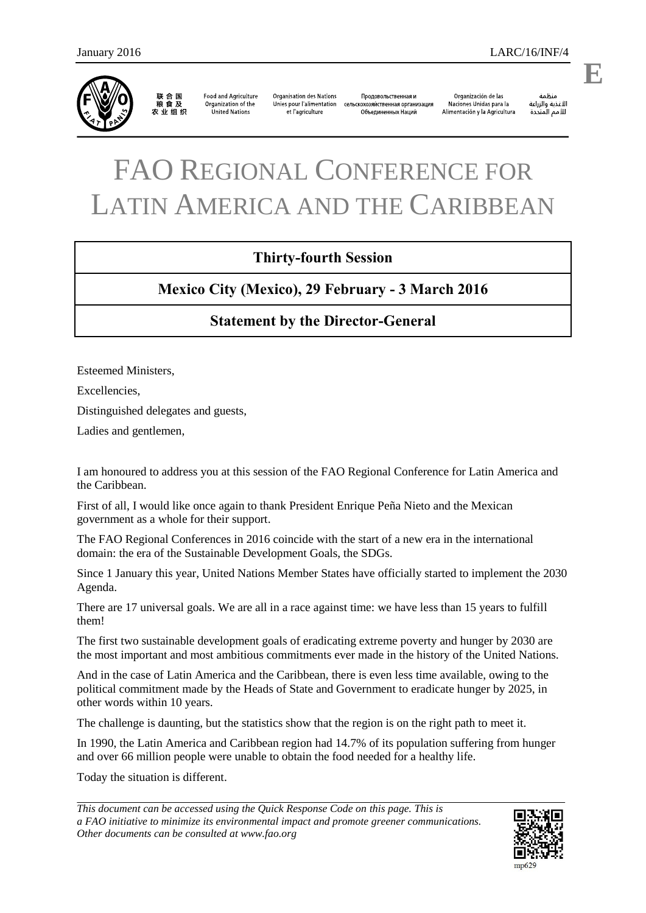

联合国<br>粮食及 农业组织

**Food and Agriculture** Organization of the United Nations

**Organisation des Nations** Продовольственная и Unies pour l'alimentation сельскохозяйственная организация et l'agriculture Объединенных Наций

Organización de las Naciones Unidas para la Alimentación y la Agricultura

änhin الأغذية والزراعة للأمم المتحدة

## FAO REGIONAL CONFERENCE FOR LATIN AMERICA AND THE CARIBBEAN

## **Thirty-fourth Session**

## **Mexico City (Mexico), 29 February - 3 March 2016**

## **Statement by the Director-General**

Esteemed Ministers,

Excellencies,

Distinguished delegates and guests,

Ladies and gentlemen,

I am honoured to address you at this session of the FAO Regional Conference for Latin America and the Caribbean.

First of all, I would like once again to thank President Enrique Peña Nieto and the Mexican government as a whole for their support.

The FAO Regional Conferences in 2016 coincide with the start of a new era in the international domain: the era of the Sustainable Development Goals, the SDGs.

Since 1 January this year, United Nations Member States have officially started to implement the 2030 Agenda.

There are 17 universal goals. We are all in a race against time: we have less than 15 years to fulfill them!

The first two sustainable development goals of eradicating extreme poverty and hunger by 2030 are the most important and most ambitious commitments ever made in the history of the United Nations.

And in the case of Latin America and the Caribbean, there is even less time available, owing to the political commitment made by the Heads of State and Government to eradicate hunger by 2025, in other words within 10 years.

The challenge is daunting, but the statistics show that the region is on the right path to meet it.

In 1990, the Latin America and Caribbean region had 14.7% of its population suffering from hunger and over 66 million people were unable to obtain the food needed for a healthy life.

Today the situation is different.

*This document can be accessed using the Quick Response Code on this page. This is a FAO initiative to minimize its environmental impact and promote greener communications. Other documents can be consulted at www.fao.org*



**E**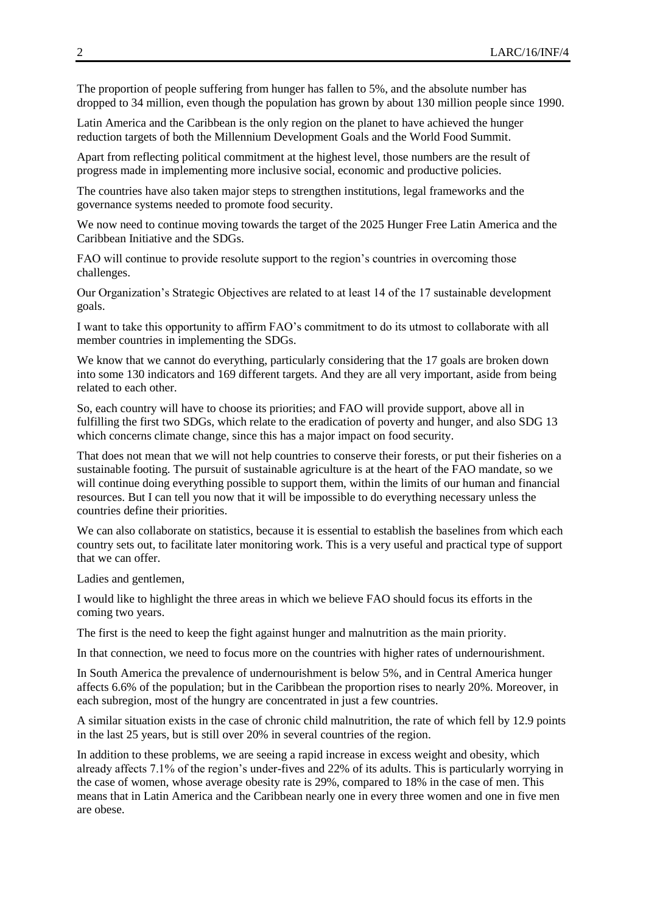The proportion of people suffering from hunger has fallen to 5%, and the absolute number has dropped to 34 million, even though the population has grown by about 130 million people since 1990.

Latin America and the Caribbean is the only region on the planet to have achieved the hunger reduction targets of both the Millennium Development Goals and the World Food Summit.

Apart from reflecting political commitment at the highest level, those numbers are the result of progress made in implementing more inclusive social, economic and productive policies.

The countries have also taken major steps to strengthen institutions, legal frameworks and the governance systems needed to promote food security.

We now need to continue moving towards the target of the 2025 Hunger Free Latin America and the Caribbean Initiative and the SDGs.

FAO will continue to provide resolute support to the region's countries in overcoming those challenges.

Our Organization's Strategic Objectives are related to at least 14 of the 17 sustainable development goals.

I want to take this opportunity to affirm FAO's commitment to do its utmost to collaborate with all member countries in implementing the SDGs.

We know that we cannot do everything, particularly considering that the 17 goals are broken down into some 130 indicators and 169 different targets. And they are all very important, aside from being related to each other.

So, each country will have to choose its priorities; and FAO will provide support, above all in fulfilling the first two SDGs, which relate to the eradication of poverty and hunger, and also SDG 13 which concerns climate change, since this has a major impact on food security.

That does not mean that we will not help countries to conserve their forests, or put their fisheries on a sustainable footing. The pursuit of sustainable agriculture is at the heart of the FAO mandate, so we will continue doing everything possible to support them, within the limits of our human and financial resources. But I can tell you now that it will be impossible to do everything necessary unless the countries define their priorities.

We can also collaborate on statistics, because it is essential to establish the baselines from which each country sets out, to facilitate later monitoring work. This is a very useful and practical type of support that we can offer.

Ladies and gentlemen,

I would like to highlight the three areas in which we believe FAO should focus its efforts in the coming two years.

The first is the need to keep the fight against hunger and malnutrition as the main priority.

In that connection, we need to focus more on the countries with higher rates of undernourishment.

In South America the prevalence of undernourishment is below 5%, and in Central America hunger affects 6.6% of the population; but in the Caribbean the proportion rises to nearly 20%. Moreover, in each subregion, most of the hungry are concentrated in just a few countries.

A similar situation exists in the case of chronic child malnutrition, the rate of which fell by 12.9 points in the last 25 years, but is still over 20% in several countries of the region.

In addition to these problems, we are seeing a rapid increase in excess weight and obesity, which already affects 7.1% of the region's under-fives and 22% of its adults. This is particularly worrying in the case of women, whose average obesity rate is 29%, compared to 18% in the case of men. This means that in Latin America and the Caribbean nearly one in every three women and one in five men are obese.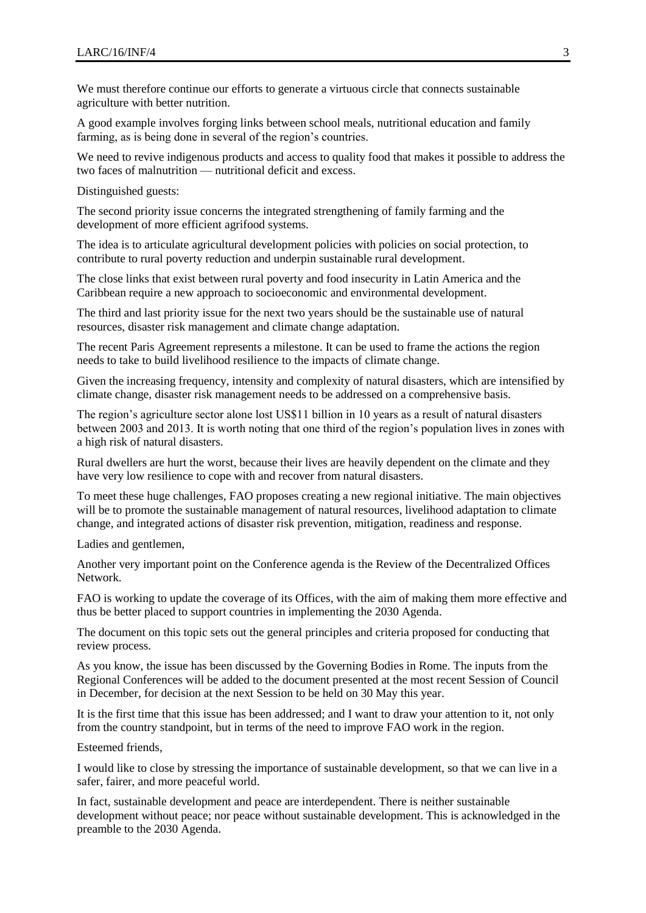We must therefore continue our efforts to generate a virtuous circle that connects sustainable agriculture with better nutrition.

A good example involves forging links between school meals, nutritional education and family farming, as is being done in several of the region's countries.

We need to revive indigenous products and access to quality food that makes it possible to address the two faces of malnutrition — nutritional deficit and excess.

Distinguished guests:

The second priority issue concerns the integrated strengthening of family farming and the development of more efficient agrifood systems.

The idea is to articulate agricultural development policies with policies on social protection, to contribute to rural poverty reduction and underpin sustainable rural development.

The close links that exist between rural poverty and food insecurity in Latin America and the Caribbean require a new approach to socioeconomic and environmental development.

The third and last priority issue for the next two years should be the sustainable use of natural resources, disaster risk management and climate change adaptation.

The recent Paris Agreement represents a milestone. It can be used to frame the actions the region needs to take to build livelihood resilience to the impacts of climate change.

Given the increasing frequency, intensity and complexity of natural disasters, which are intensified by climate change, disaster risk management needs to be addressed on a comprehensive basis.

The region's agriculture sector alone lost US\$11 billion in 10 years as a result of natural disasters between 2003 and 2013. It is worth noting that one third of the region's population lives in zones with a high risk of natural disasters.

Rural dwellers are hurt the worst, because their lives are heavily dependent on the climate and they have very low resilience to cope with and recover from natural disasters.

To meet these huge challenges, FAO proposes creating a new regional initiative. The main objectives will be to promote the sustainable management of natural resources, livelihood adaptation to climate change, and integrated actions of disaster risk prevention, mitigation, readiness and response.

Ladies and gentlemen,

Another very important point on the Conference agenda is the Review of the Decentralized Offices Network.

FAO is working to update the coverage of its Offices, with the aim of making them more effective and thus be better placed to support countries in implementing the 2030 Agenda.

The document on this topic sets out the general principles and criteria proposed for conducting that review process.

As you know, the issue has been discussed by the Governing Bodies in Rome. The inputs from the Regional Conferences will be added to the document presented at the most recent Session of Council in December, for decision at the next Session to be held on 30 May this year.

It is the first time that this issue has been addressed; and I want to draw your attention to it, not only from the country standpoint, but in terms of the need to improve FAO work in the region.

Esteemed friends,

I would like to close by stressing the importance of sustainable development, so that we can live in a safer, fairer, and more peaceful world.

In fact, sustainable development and peace are interdependent. There is neither sustainable development without peace; nor peace without sustainable development. This is acknowledged in the preamble to the 2030 Agenda.